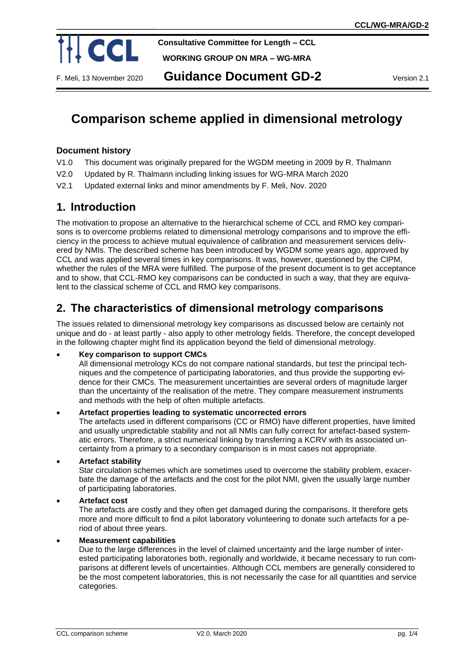

**Consultative Committee for Length – CCL**

**WORKING GROUP ON MRA – WG-MRA**

# **Comparison scheme applied in dimensional metrology**

### **Document history**

- V1.0 This document was originally prepared for the WGDM meeting in 2009 by R. Thalmann
- V2.0 Updated by R. Thalmann including linking issues for WG-MRA March 2020
- V2.1 Updated external links and minor amendments by F. Meli, Nov. 2020

# **1. Introduction**

The motivation to propose an alternative to the hierarchical scheme of CCL and RMO key comparisons is to overcome problems related to dimensional metrology comparisons and to improve the efficiency in the process to achieve mutual equivalence of calibration and measurement services delivered by NMIs. The described scheme has been introduced by WGDM some years ago, approved by CCL and was applied several times in key comparisons. It was, however, questioned by the CIPM, whether the rules of the MRA were fulfilled. The purpose of the present document is to get acceptance and to show, that CCL-RMO key comparisons can be conducted in such a way, that they are equivalent to the classical scheme of CCL and RMO key comparisons.

# **2. The characteristics of dimensional metrology comparisons**

The issues related to dimensional metrology key comparisons as discussed below are certainly not unique and do - at least partly - also apply to other metrology fields. Therefore, the concept developed in the following chapter might find its application beyond the field of dimensional metrology.

#### • **Key comparison to support CMCs**

All dimensional metrology KCs do not compare national standards, but test the principal techniques and the competence of participating laboratories, and thus provide the supporting evidence for their CMCs. The measurement uncertainties are several orders of magnitude larger than the uncertainty of the realisation of the metre. They compare measurement instruments and methods with the help of often multiple artefacts.

#### • **Artefact properties leading to systematic uncorrected errors**

The artefacts used in different comparisons (CC or RMO) have different properties, have limited and usually unpredictable stability and not all NMIs can fully correct for artefact-based systematic errors. Therefore, a strict numerical linking by transferring a KCRV with its associated uncertainty from a primary to a secondary comparison is in most cases not appropriate.

• **Artefact stability**

Star circulation schemes which are sometimes used to overcome the stability problem, exacerbate the damage of the artefacts and the cost for the pilot NMI, given the usually large number of participating laboratories.

#### • **Artefact cost**

The artefacts are costly and they often get damaged during the comparisons. It therefore gets more and more difficult to find a pilot laboratory volunteering to donate such artefacts for a period of about three years.

#### • **Measurement capabilities**

Due to the large differences in the level of claimed uncertainty and the large number of interested participating laboratories both, regionally and worldwide, it became necessary to run comparisons at different levels of uncertainties. Although CCL members are generally considered to be the most competent laboratories, this is not necessarily the case for all quantities and service categories.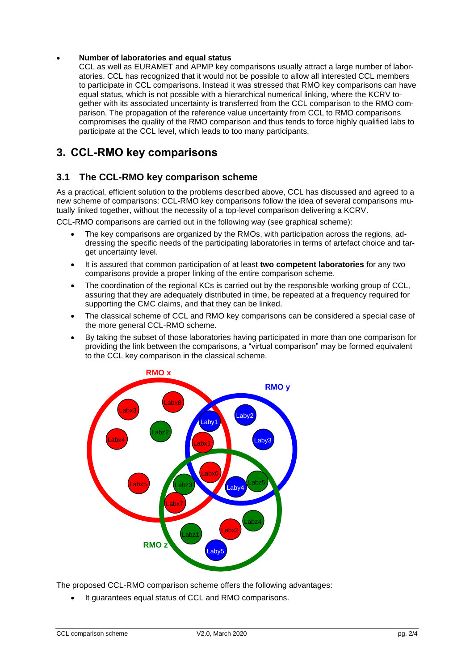#### • **Number of laboratories and equal status**

CCL as well as EURAMET and APMP key comparisons usually attract a large number of laboratories. CCL has recognized that it would not be possible to allow all interested CCL members to participate in CCL comparisons. Instead it was stressed that RMO key comparisons can have equal status, which is not possible with a hierarchical numerical linking, where the KCRV together with its associated uncertainty is transferred from the CCL comparison to the RMO comparison. The propagation of the reference value uncertainty from CCL to RMO comparisons compromises the quality of the RMO comparison and thus tends to force highly qualified labs to participate at the CCL level, which leads to too many participants.

## **3. CCL-RMO key comparisons**

### **3.1 The CCL-RMO key comparison scheme**

As a practical, efficient solution to the problems described above, CCL has discussed and agreed to a new scheme of comparisons: CCL-RMO key comparisons follow the idea of several comparisons mutually linked together, without the necessity of a top-level comparison delivering a KCRV.

CCL-RMO comparisons are carried out in the following way (see graphical scheme):

- The key comparisons are organized by the RMOs, with participation across the regions, addressing the specific needs of the participating laboratories in terms of artefact choice and target uncertainty level.
- It is assured that common participation of at least **two competent laboratories** for any two comparisons provide a proper linking of the entire comparison scheme.
- The coordination of the regional KCs is carried out by the responsible working group of CCL, assuring that they are adequately distributed in time, be repeated at a frequency required for supporting the CMC claims, and that they can be linked.
- The classical scheme of CCL and RMO key comparisons can be considered a special case of the more general CCL-RMO scheme.
- By taking the subset of those laboratories having participated in more than one comparison for providing the link between the comparisons, a "virtual comparison" may be formed equivalent to the CCL key comparison in the classical scheme.



The proposed CCL-RMO comparison scheme offers the following advantages:

• It guarantees equal status of CCL and RMO comparisons.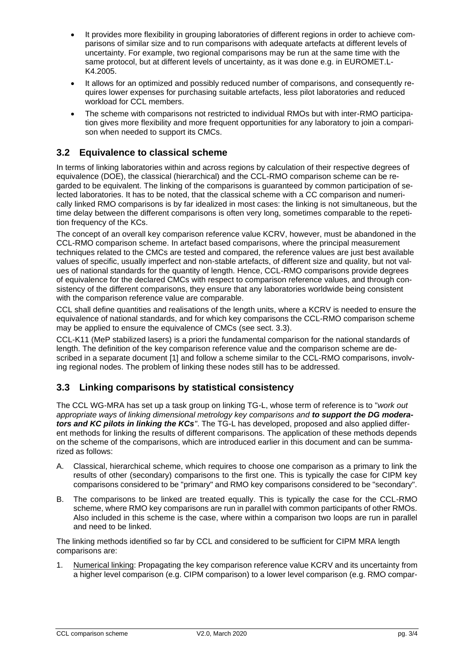- It provides more flexibility in grouping laboratories of different regions in order to achieve comparisons of similar size and to run comparisons with adequate artefacts at different levels of uncertainty. For example, two regional comparisons may be run at the same time with the same protocol, but at different levels of uncertainty, as it was done e.g. in EUROMET.L-K4.2005.
- It allows for an optimized and possibly reduced number of comparisons, and consequently requires lower expenses for purchasing suitable artefacts, less pilot laboratories and reduced workload for CCL members.
- The scheme with comparisons not restricted to individual RMOs but with inter-RMO participation gives more flexibility and more frequent opportunities for any laboratory to join a comparison when needed to support its CMCs.

### **3.2 Equivalence to classical scheme**

In terms of linking laboratories within and across regions by calculation of their respective degrees of equivalence (DOE), the classical (hierarchical) and the CCL-RMO comparison scheme can be regarded to be equivalent. The linking of the comparisons is guaranteed by common participation of selected laboratories. It has to be noted, that the classical scheme with a CC comparison and numerically linked RMO comparisons is by far idealized in most cases: the linking is not simultaneous, but the time delay between the different comparisons is often very long, sometimes comparable to the repetition frequency of the KCs.

The concept of an overall key comparison reference value KCRV, however, must be abandoned in the CCL-RMO comparison scheme. In artefact based comparisons, where the principal measurement techniques related to the CMCs are tested and compared, the reference values are just best available values of specific, usually imperfect and non-stable artefacts, of different size and quality, but not values of national standards for the quantity of length. Hence, CCL-RMO comparisons provide degrees of equivalence for the declared CMCs with respect to comparison reference values, and through consistency of the different comparisons, they ensure that any laboratories worldwide being consistent with the comparison reference value are comparable.

CCL shall define quantities and realisations of the length units, where a KCRV is needed to ensure the equivalence of national standards, and for which key comparisons the CCL-RMO comparison scheme may be applied to ensure the equivalence of CMCs (see sect. [3.3\)](#page-2-0).

CCL-K11 (MeP stabilized lasers) is a priori the fundamental comparison for the national standards of length. The definition of the key comparison reference value and the comparison scheme are described in a separate document [1] and follow a scheme similar to the CCL-RMO comparisons, involving regional nodes. The problem of linking these nodes still has to be addressed.

#### <span id="page-2-0"></span>**3.3 Linking comparisons by statistical consistency**

The CCL WG-MRA has set up a task group on linking TG-L, whose term of reference is to "*work out appropriate ways of linking dimensional metrology key comparisons and to support the DG moderators and KC pilots in linking the KCs"*. The TG-L has developed, proposed and also applied different methods for linking the results of different comparisons. The application of these methods depends on the scheme of the comparisons, which are introduced earlier in this document and can be summarized as follows:

- A. Classical, hierarchical scheme, which requires to choose one comparison as a primary to link the results of other (secondary) comparisons to the first one. This is typically the case for CIPM key comparisons considered to be "primary" and RMO key comparisons considered to be "secondary".
- B. The comparisons to be linked are treated equally. This is typically the case for the CCL-RMO scheme, where RMO key comparisons are run in parallel with common participants of other RMOs. Also included in this scheme is the case, where within a comparison two loops are run in parallel and need to be linked.

The linking methods identified so far by CCL and considered to be sufficient for CIPM MRA length comparisons are:

1. Numerical linking: Propagating the key comparison reference value KCRV and its uncertainty from a higher level comparison (e.g. CIPM comparison) to a lower level comparison (e.g. RMO compar